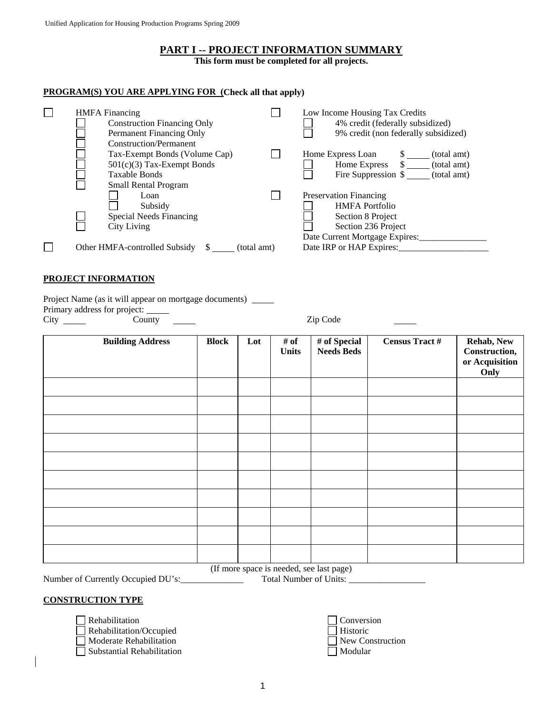# **PART I -- PROJECT INFORMATION SUMMARY**

**This form must be completed for all projects.** 

## **PROGRAM(S) YOU ARE APPLYING FOR (Check all that apply)**

|  | <b>HMFA</b> Financing                        | Low Income Housing Tax Credits       |
|--|----------------------------------------------|--------------------------------------|
|  | <b>Construction Financing Only</b>           | 4% credit (federally subsidized)     |
|  | Permanent Financing Only                     | 9% credit (non federally subsidized) |
|  | Construction/Permanent                       |                                      |
|  | Tax-Exempt Bonds (Volume Cap)                | Home Express Loan<br>(total amt)     |
|  | $501(c)(3)$ Tax-Exempt Bonds                 | Home Express<br>(total amt)<br>S.    |
|  | <b>Taxable Bonds</b>                         | Fire Suppression \$<br>(total amt)   |
|  | <b>Small Rental Program</b>                  |                                      |
|  | Loan                                         | <b>Preservation Financing</b>        |
|  | Subsidy                                      | <b>HMFA</b> Portfolio                |
|  | Special Needs Financing                      | Section 8 Project                    |
|  | City Living                                  | Section 236 Project                  |
|  |                                              | Date Current Mortgage Expires:       |
|  | Other HMFA-controlled Subsidy<br>(total amt) | Date IRP or HAP Expires:             |

#### **PROJECT INFORMATION**

Project Name (as it will appear on mortgage documents) \_\_\_\_\_

Primary address for project:

City County Zip Code

| <b>Building Address</b>                  | <b>Block</b> | Lot | # of<br><b>Units</b> | # of Special<br><b>Needs Beds</b> | <b>Census Tract #</b> | Rehab, New<br>Construction,<br>or Acquisition<br>Only |
|------------------------------------------|--------------|-----|----------------------|-----------------------------------|-----------------------|-------------------------------------------------------|
|                                          |              |     |                      |                                   |                       |                                                       |
|                                          |              |     |                      |                                   |                       |                                                       |
|                                          |              |     |                      |                                   |                       |                                                       |
|                                          |              |     |                      |                                   |                       |                                                       |
|                                          |              |     |                      |                                   |                       |                                                       |
|                                          |              |     |                      |                                   |                       |                                                       |
|                                          |              |     |                      |                                   |                       |                                                       |
|                                          |              |     |                      |                                   |                       |                                                       |
|                                          |              |     |                      |                                   |                       |                                                       |
|                                          |              |     |                      |                                   |                       |                                                       |
| (If more space is needed, see last page) |              |     |                      |                                   |                       |                                                       |

Number of Currently Occupied DU's:\_\_\_\_\_\_\_\_\_\_\_\_\_\_ Total Number of Units: \_\_\_\_\_\_\_\_\_\_\_\_\_\_\_\_\_

#### **CONSTRUCTION TYPE**

 $\Box$  Rehabilitation

Rehabilitation/Occupied

□ Moderate Rehabilitation New Construction

 $\Box$  Substantial Rehabilitation

| Conversion       |
|------------------|
| $\Box$ Historic  |
| New Construction |
| Modular          |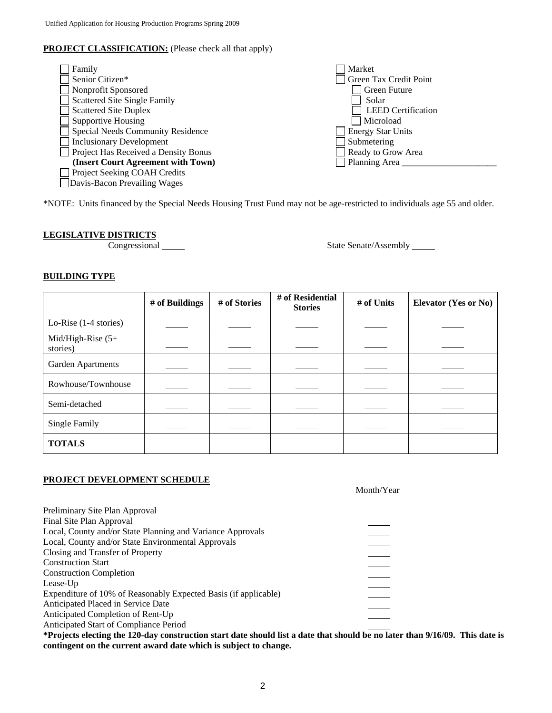# **PROJECT CLASSIFICATION:** (Please check all that apply)

| Family                               | Market                    |
|--------------------------------------|---------------------------|
| Senior Citizen*                      | Green Tax Credit Point    |
| Nonprofit Sponsored                  | Green Future              |
| <b>Scattered Site Single Family</b>  | Solar                     |
| <b>Scattered Site Duplex</b>         | <b>LEED</b> Certification |
| <b>Supportive Housing</b>            | Microload                 |
| Special Needs Community Residence    | <b>Energy Star Units</b>  |
| <b>Inclusionary Development</b>      | Submetering               |
| Project Has Received a Density Bonus | Ready to Grow Area        |
| (Insert Court Agreement with Town)   | Planning Area             |
| Project Seeking COAH Credits         |                           |
| Davis-Bacon Prevailing Wages         |                           |

\*NOTE: Units financed by the Special Needs Housing Trust Fund may not be age-restricted to individuals age 55 and older.

# **LEGISLATIVE DISTRICTS**

Congressional State Senate/Assembly

# **BUILDING TYPE**

|                                  | # of Buildings | # of Stories | # of Residential<br><b>Stories</b> | # of Units | <b>Elevator (Yes or No)</b> |
|----------------------------------|----------------|--------------|------------------------------------|------------|-----------------------------|
| Lo-Rise $(1-4$ stories)          |                |              |                                    |            |                             |
| Mid/High-Rise $(5+)$<br>stories) |                |              |                                    |            |                             |
| Garden Apartments                |                |              |                                    |            |                             |
| Rowhouse/Townhouse               |                |              |                                    |            |                             |
| Semi-detached                    |                |              |                                    |            |                             |
| Single Family                    |                |              |                                    |            |                             |
| <b>TOTALS</b>                    |                |              |                                    |            |                             |

# **PROJECT DEVELOPMENT SCHEDULE**

Month/Year

| Preliminary Site Plan Approval                                  |  |
|-----------------------------------------------------------------|--|
| Final Site Plan Approval                                        |  |
| Local, County and/or State Planning and Variance Approvals      |  |
| Local, County and/or State Environmental Approvals              |  |
| Closing and Transfer of Property                                |  |
| <b>Construction Start</b>                                       |  |
| <b>Construction Completion</b>                                  |  |
| Lease-Up                                                        |  |
| Expenditure of 10% of Reasonably Expected Basis (if applicable) |  |
| Anticipated Placed in Service Date                              |  |
| Anticipated Completion of Rent-Up                               |  |
| Anticipated Start of Compliance Period                          |  |

**\*Projects electing the 120-day construction start date should list a date that should be no later than 9/16/09. This date is contingent on the current award date which is subject to change.**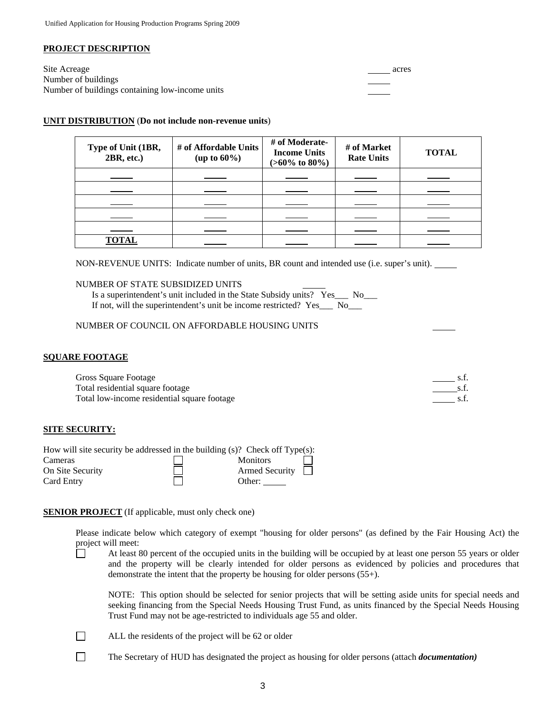#### **PROJECT DESCRIPTION**

Site Acreage acres and the set of the set of the set of the set of the set of the set of the set of the set of the set of the set of the set of the set of the set of the set of the set of the set of the set of the set of t Number of buildings Number of buildings containing low-income units

#### **UNIT DISTRIBUTION** (**Do not include non-revenue units**)

| Type of Unit (1BR,<br>2BR, etc.) | # of Affordable Units<br>(up to $60\%$ ) | # of Moderate-<br><b>Income Units</b><br>$(>60\% \text{ to } 80\%)$ | # of Market<br><b>Rate Units</b> | <b>TOTAL</b> |
|----------------------------------|------------------------------------------|---------------------------------------------------------------------|----------------------------------|--------------|
|                                  |                                          |                                                                     |                                  |              |
|                                  |                                          |                                                                     |                                  |              |
|                                  |                                          |                                                                     |                                  |              |
|                                  |                                          |                                                                     |                                  |              |
|                                  |                                          |                                                                     |                                  |              |
| <b>TOTAL</b>                     |                                          |                                                                     |                                  |              |

NON-REVENUE UNITS: Indicate number of units, BR count and intended use (i.e. super's unit).

#### NUMBER OF STATE SUBSIDIZED UNITS

| Is a superintendent's unit included in the State Subsidy units? Yes___ No_ |      |  |
|----------------------------------------------------------------------------|------|--|
| If not, will the superintendent's unit be income restricted? Yes_          | - No |  |

#### NUMBER OF COUNCIL ON AFFORDABLE HOUSING UNITS

#### **SQUARE FOOTAGE**

| Gross Square Footage                        |  |
|---------------------------------------------|--|
| Total residential square footage            |  |
| Total low-income residential square footage |  |

#### **SITE SECURITY:**

| How will site security be addressed in the building $(s)$ ? Check off Type $(s)$ : |                                       |
|------------------------------------------------------------------------------------|---------------------------------------|
| Cameras                                                                            | <b>Monitors</b>                       |
| On Site Security                                                                   | <b>Armed Security</b><br>$\mathbf{1}$ |
| <b>Card Entry</b>                                                                  | Other:                                |

#### **SENIOR PROJECT** (If applicable, must only check one)

Please indicate below which category of exempt "housing for older persons" (as defined by the Fair Housing Act) the project will meet:

 At least 80 percent of the occupied units in the building will be occupied by at least one person 55 years or older and the property will be clearly intended for older persons as evidenced by policies and procedures that demonstrate the intent that the property be housing for older persons (55+).

NOTE: This option should be selected for senior projects that will be setting aside units for special needs and seeking financing from the Special Needs Housing Trust Fund, as units financed by the Special Needs Housing Trust Fund may not be age-restricted to individuals age 55 and older.

ALL the residents of the project will be 62 or older

The Secretary of HUD has designated the project as housing for older persons (attach *documentation*)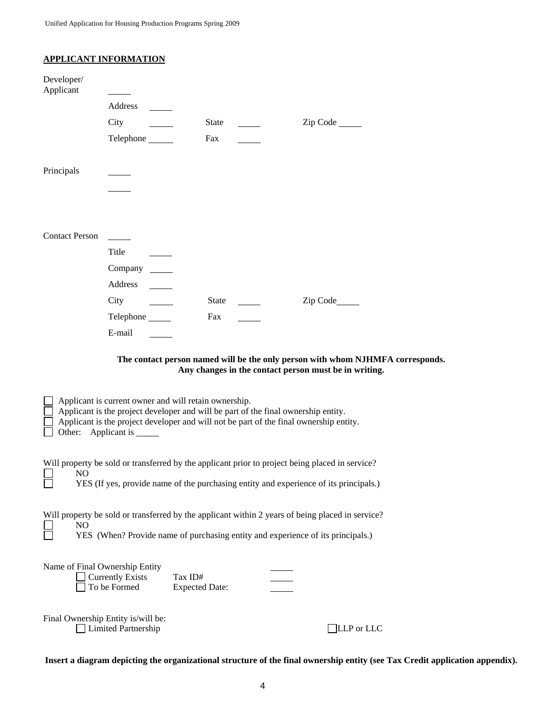| <b>APPLICANT INFORMATION</b> |  |
|------------------------------|--|
|                              |  |

| Developer/<br>Applicant |                                                                                                                                                                             |                                  |                                                                                                                                                                                          |
|-------------------------|-----------------------------------------------------------------------------------------------------------------------------------------------------------------------------|----------------------------------|------------------------------------------------------------------------------------------------------------------------------------------------------------------------------------------|
|                         | Address                                                                                                                                                                     |                                  |                                                                                                                                                                                          |
|                         | City                                                                                                                                                                        | <b>State</b>                     |                                                                                                                                                                                          |
|                         | Telephone _______                                                                                                                                                           | Fax                              |                                                                                                                                                                                          |
| Principals              |                                                                                                                                                                             |                                  |                                                                                                                                                                                          |
|                         |                                                                                                                                                                             |                                  |                                                                                                                                                                                          |
|                         |                                                                                                                                                                             |                                  |                                                                                                                                                                                          |
| <b>Contact Person</b>   | Title                                                                                                                                                                       |                                  |                                                                                                                                                                                          |
|                         | Company ________                                                                                                                                                            |                                  |                                                                                                                                                                                          |
|                         | Address                                                                                                                                                                     |                                  |                                                                                                                                                                                          |
|                         | City                                                                                                                                                                        | State                            | Zip Code______                                                                                                                                                                           |
|                         | Telephone                                                                                                                                                                   | Fax                              |                                                                                                                                                                                          |
|                         | E-mail                                                                                                                                                                      |                                  |                                                                                                                                                                                          |
|                         |                                                                                                                                                                             |                                  | The contact person named will be the only person with whom NJHMFA corresponds.<br>Any changes in the contact person must be in writing.                                                  |
|                         | Applicant is current owner and will retain ownership.<br>Applicant is the project developer and will be part of the final ownership entity.<br>Other: Applicant is ________ |                                  | Applicant is the project developer and will not be part of the final ownership entity.                                                                                                   |
| N <sub>O</sub>          |                                                                                                                                                                             |                                  | Will property be sold or transferred by the applicant prior to project being placed in service?<br>YES (If yes, provide name of the purchasing entity and experience of its principals.) |
| N <sub>O</sub>          |                                                                                                                                                                             |                                  | Will property be sold or transferred by the applicant within 2 years of being placed in service?<br>YES (When? Provide name of purchasing entity and experience of its principals.)      |
|                         | Name of Final Ownership Entity<br><b>Currently Exists</b><br>To be Formed                                                                                                   | Tax ID#<br><b>Expected Date:</b> |                                                                                                                                                                                          |
|                         | Final Ownership Entity is/will be:                                                                                                                                          |                                  |                                                                                                                                                                                          |

Limited Partnership LLP or LLC

**Insert a diagram depicting the organizational structure of the final ownership entity (see Tax Credit application appendix).**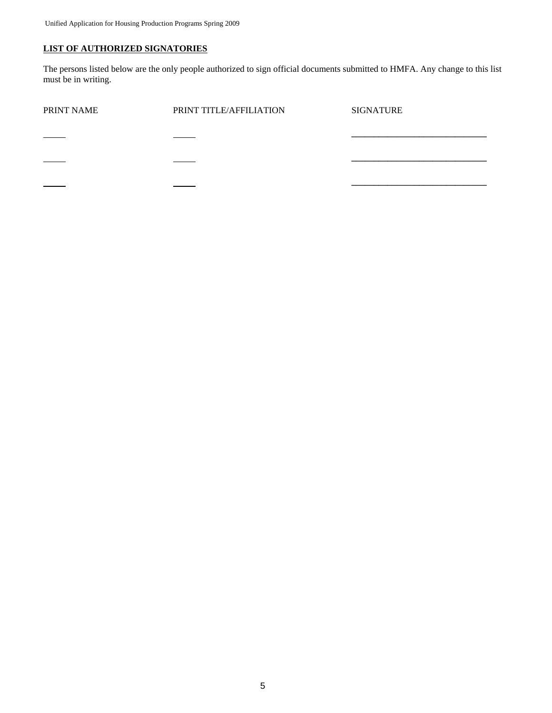# **LIST OF AUTHORIZED SIGNATORIES**

The persons listed below are the only people authorized to sign official documents submitted to HMFA. Any change to this list must be in writing.

| PRINT NAME | PRINT TITLE/AFFILIATION | <b>SIGNATURE</b> |
|------------|-------------------------|------------------|
|            |                         |                  |
|            |                         |                  |
|            |                         |                  |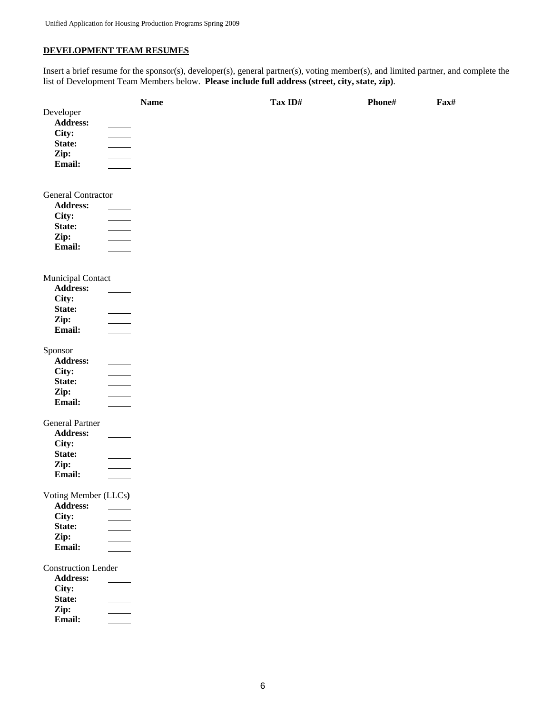# **DEVELOPMENT TEAM RESUMES**

Insert a brief resume for the sponsor(s), developer(s), general partner(s), voting member(s), and limited partner, and complete the list of Development Team Members below. **Please include full address (street, city, state, zip)**.

|                            | <b>Name</b>              | Tax ID# | Phone# | Fax# |
|----------------------------|--------------------------|---------|--------|------|
| Developer                  |                          |         |        |      |
| Address:                   |                          |         |        |      |
| City:                      |                          |         |        |      |
| State:                     | $\mathbb{R}^n$           |         |        |      |
| Zip:                       | $\sim$                   |         |        |      |
| Email:                     |                          |         |        |      |
|                            |                          |         |        |      |
| <b>General Contractor</b>  |                          |         |        |      |
| <b>Address:</b>            |                          |         |        |      |
| City:                      |                          |         |        |      |
| State:                     | $\frac{1}{1}$            |         |        |      |
| Zip:                       | $\mathcal{L}$            |         |        |      |
| Email:                     |                          |         |        |      |
|                            |                          |         |        |      |
| Municipal Contact          |                          |         |        |      |
| Address:                   |                          |         |        |      |
| City:                      |                          |         |        |      |
| State:                     | $\overline{\phantom{0}}$ |         |        |      |
| Zip:                       |                          |         |        |      |
| Email:                     |                          |         |        |      |
| Sponsor                    |                          |         |        |      |
| Address:                   |                          |         |        |      |
| City:                      | $\sim$                   |         |        |      |
| State:                     | $\overline{\phantom{0}}$ |         |        |      |
| Zip:                       |                          |         |        |      |
| Email:                     | $\sim$                   |         |        |      |
| <b>General Partner</b>     |                          |         |        |      |
| Address:                   |                          |         |        |      |
| City:                      |                          |         |        |      |
| State:                     |                          |         |        |      |
| Zip:                       |                          |         |        |      |
| Email:                     |                          |         |        |      |
| Voting Member (LLCs)       |                          |         |        |      |
| Address:                   |                          |         |        |      |
| City:                      |                          |         |        |      |
| State:                     |                          |         |        |      |
| Zip:                       |                          |         |        |      |
| Email:                     |                          |         |        |      |
| <b>Construction Lender</b> |                          |         |        |      |
| <b>Address:</b>            |                          |         |        |      |
| City:                      |                          |         |        |      |
| State:                     |                          |         |        |      |
| Zip:                       |                          |         |        |      |
| Email:                     |                          |         |        |      |
|                            |                          |         |        |      |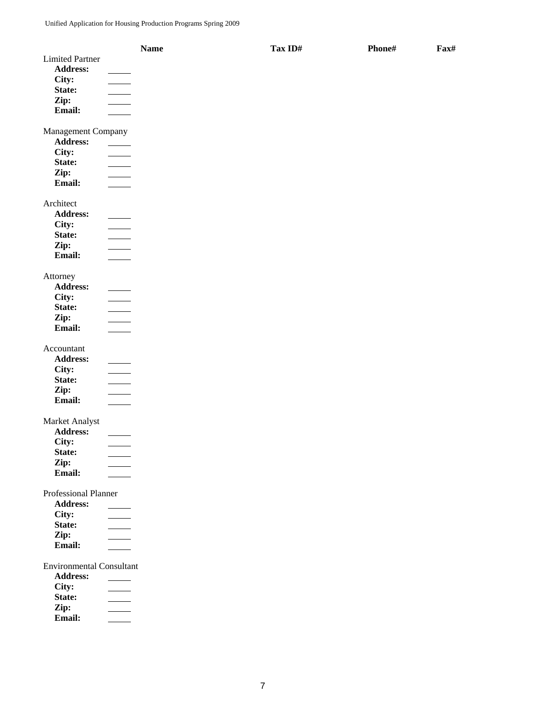|                                 | <b>Name</b> | Tax ID# | Phone# | Fax# |
|---------------------------------|-------------|---------|--------|------|
| <b>Limited Partner</b>          |             |         |        |      |
| <b>Address:</b>                 |             |         |        |      |
| City:                           |             |         |        |      |
| State:                          |             |         |        |      |
| Zip:                            |             |         |        |      |
| Email:                          |             |         |        |      |
|                                 |             |         |        |      |
| Management Company              |             |         |        |      |
| <b>Address:</b>                 |             |         |        |      |
| City:                           |             |         |        |      |
| State:                          |             |         |        |      |
| Zip:                            |             |         |        |      |
| Email:                          |             |         |        |      |
|                                 |             |         |        |      |
| Architect                       |             |         |        |      |
| Address:                        |             |         |        |      |
| City:                           |             |         |        |      |
| State:                          |             |         |        |      |
| Zip:                            |             |         |        |      |
| <b>Email:</b>                   |             |         |        |      |
| Attorney                        |             |         |        |      |
| <b>Address:</b>                 |             |         |        |      |
| City:                           |             |         |        |      |
| State:                          |             |         |        |      |
| Zip:                            |             |         |        |      |
| Email:                          |             |         |        |      |
|                                 |             |         |        |      |
| Accountant                      |             |         |        |      |
| <b>Address:</b>                 |             |         |        |      |
| City:                           |             |         |        |      |
| State:                          |             |         |        |      |
| Zip:                            |             |         |        |      |
| Email:                          |             |         |        |      |
|                                 |             |         |        |      |
| Market Analyst                  |             |         |        |      |
| <b>Address:</b>                 |             |         |        |      |
| City:                           |             |         |        |      |
| State:                          |             |         |        |      |
| Zip:                            |             |         |        |      |
| Email:                          |             |         |        |      |
| Professional Planner            |             |         |        |      |
| Address:                        |             |         |        |      |
| City:                           |             |         |        |      |
| State:                          |             |         |        |      |
| Zip:                            |             |         |        |      |
| Email:                          |             |         |        |      |
|                                 |             |         |        |      |
| <b>Environmental Consultant</b> |             |         |        |      |
| <b>Address:</b>                 |             |         |        |      |
| City:                           |             |         |        |      |
| State:                          |             |         |        |      |
| Zip:                            |             |         |        |      |
| Email:                          |             |         |        |      |
|                                 |             |         |        |      |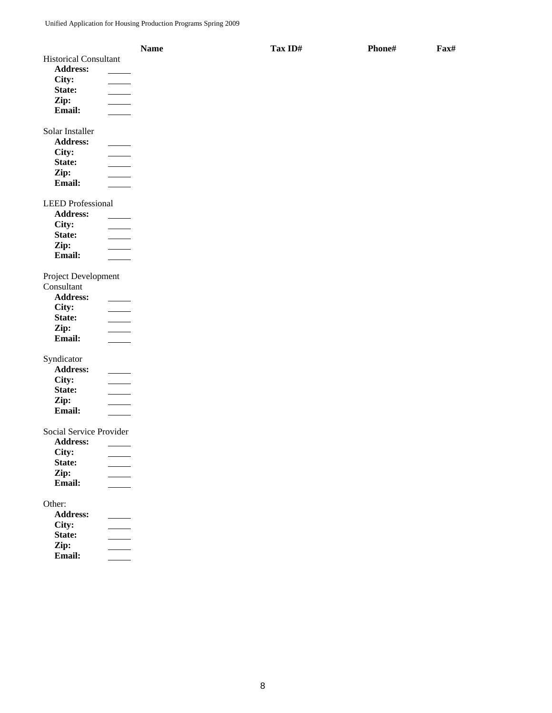|                              | <b>Name</b> | Tax ID# | Phone# | Fax# |
|------------------------------|-------------|---------|--------|------|
| <b>Historical Consultant</b> |             |         |        |      |
| Address:                     |             |         |        |      |
| City:                        |             |         |        |      |
| State:                       |             |         |        |      |
| Zip:                         |             |         |        |      |
| Email:                       |             |         |        |      |
|                              |             |         |        |      |
| Solar Installer              |             |         |        |      |
| <b>Address:</b>              |             |         |        |      |
| City:                        |             |         |        |      |
| State:                       |             |         |        |      |
| Zip:                         |             |         |        |      |
| Email:                       |             |         |        |      |
|                              |             |         |        |      |
| <b>LEED</b> Professional     |             |         |        |      |
| <b>Address:</b>              |             |         |        |      |
| City:                        |             |         |        |      |
| State:                       |             |         |        |      |
| Zip:                         |             |         |        |      |
| Email:                       |             |         |        |      |
|                              |             |         |        |      |
| Project Development          |             |         |        |      |
| Consultant                   |             |         |        |      |
| Address:                     |             |         |        |      |
| City:                        |             |         |        |      |
| State:                       |             |         |        |      |
| Zip:                         |             |         |        |      |
| Email:                       |             |         |        |      |
| Syndicator                   |             |         |        |      |
| Address:                     |             |         |        |      |
| City:                        |             |         |        |      |
| State:                       |             |         |        |      |
| Zip:                         |             |         |        |      |
| Email:                       |             |         |        |      |
|                              |             |         |        |      |
| Social Service Provider      |             |         |        |      |
| <b>Address:</b>              |             |         |        |      |
| City:                        |             |         |        |      |
| State:                       |             |         |        |      |
| Zip:                         |             |         |        |      |
| Email:                       |             |         |        |      |
|                              |             |         |        |      |
| Other:                       |             |         |        |      |
| Address:                     |             |         |        |      |
| City:                        |             |         |        |      |
| State:                       |             |         |        |      |
| Zip:                         |             |         |        |      |
| Email:                       |             |         |        |      |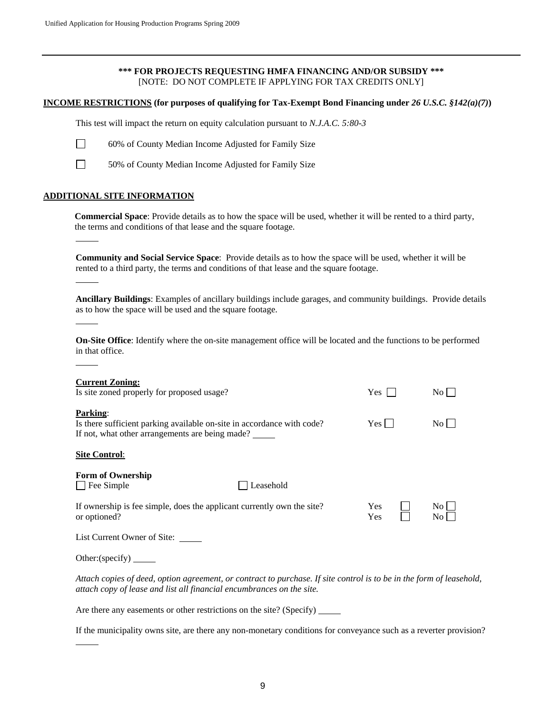## **\*\*\* FOR PROJECTS REQUESTING HMFA FINANCING AND/OR SUBSIDY \*\*\***  [NOTE: DO NOT COMPLETE IF APPLYING FOR TAX CREDITS ONLY]

#### **INCOME RESTRICTIONS (for purposes of qualifying for Tax-Exempt Bond Financing under** *26 U.S.C. §142(a)(7)***)**

This test will impact the return on equity calculation pursuant to *N.J.A.C. 5:80-3* 



- 60% of County Median Income Adjusted for Family Size
- 

l

l

 $\overline{a}$ 

l

 $\overline{a}$ 

50% of County Median Income Adjusted for Family Size

#### **ADDITIONAL SITE INFORMATION**

**Commercial Space**: Provide details as to how the space will be used, whether it will be rented to a third party, the terms and conditions of that lease and the square footage.

**Community and Social Service Space**: Provide details as to how the space will be used, whether it will be rented to a third party, the terms and conditions of that lease and the square footage.

**Ancillary Buildings**: Examples of ancillary buildings include garages, and community buildings. Provide details as to how the space will be used and the square footage.

**On-Site Office**: Identify where the on-site management office will be located and the functions to be performed in that office.

| <b>Current Zoning:</b><br>Is site zoned properly for proposed usage?                                                                                                                          | $Yes \mid$               | No                       |
|-----------------------------------------------------------------------------------------------------------------------------------------------------------------------------------------------|--------------------------|--------------------------|
| <b>Parking:</b><br>Is there sufficient parking available on-site in accordance with code?<br>If not, what other arrangements are being made?                                                  | $Yes$ $\Box$             | No                       |
| <b>Site Control:</b>                                                                                                                                                                          |                          |                          |
| <b>Form of Ownership</b><br>$\Box$ Fee Simple<br>Leasehold                                                                                                                                    |                          |                          |
| If ownership is fee simple, does the applicant currently own the site?<br>or optioned?                                                                                                        | <b>Yes</b><br><b>Yes</b> | $\overline{N_{O}}$<br>No |
| List Current Owner of Site: _____                                                                                                                                                             |                          |                          |
| Other: (specify) $\_\_\_\_\_\_\_\$                                                                                                                                                            |                          |                          |
| Attach copies of deed, option agreement, or contract to purchase. If site control is to be in the form of leasehold,<br>attach copy of lease and list all financial encumbrances on the site. |                          |                          |
| Are there any easements or other restrictions on the site? (Specify)                                                                                                                          |                          |                          |

If the municipality owns site, are there any non-monetary conditions for conveyance such as a reverter provision?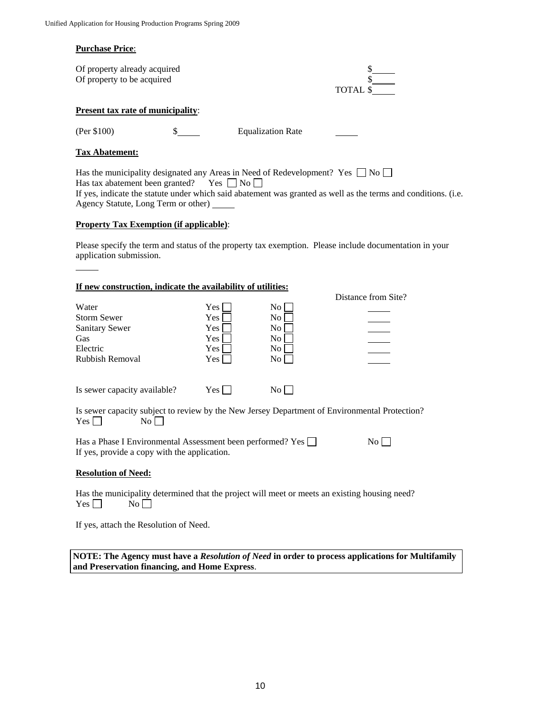#### **Purchase Price**:

| Of property already acquired |          |
|------------------------------|----------|
| Of property to be acquired   |          |
|                              | TOTAL \$ |

#### **Present tax rate of municipality**:

 $\overline{a}$ 

(Per \$100) \$ Equalization Rate

## **Tax Abatement:**

Has the municipality designated any Areas in Need of Redevelopment? Yes  $\Box$  No  $\Box$ Has tax abatement been granted? Yes  $\Box$  No  $\Box$ If yes, indicate the statute under which said abatement was granted as well as the terms and conditions. (i.e. Agency Statute, Long Term or other)

#### **Property Tax Exemption (if applicable)**:

Please specify the term and status of the property tax exemption. Please include documentation in your application submission.

#### **If new construction, indicate the availability of utilities:**

| п пен соцын асион, пинсате иге атанампту от атписы                                            |       |                    |                     |
|-----------------------------------------------------------------------------------------------|-------|--------------------|---------------------|
|                                                                                               |       |                    | Distance from Site? |
| Water                                                                                         | Yes   | No.                |                     |
| <b>Storm Sewer</b>                                                                            | Yes   | N <sub>0</sub>     |                     |
| <b>Sanitary Sewer</b>                                                                         | Yes   | N <sub>0</sub>     |                     |
| Gas                                                                                           | Yes   | N <sub>0</sub>     |                     |
| Electric                                                                                      | Yes   | N <sub>0</sub>     |                     |
| Rubbish Removal                                                                               | Yes   | $\overline{N_{O}}$ |                     |
|                                                                                               |       |                    |                     |
| Is sewer capacity available?                                                                  | Yes l | $\rm{No}$          |                     |
| Is sewer capacity subject to review by the New Jersey Department of Environmental Protection? |       |                    |                     |
| <b>Yes</b><br>No.                                                                             |       |                    |                     |

Has a Phase I Environmental Assessment been performed? Yes  $\Box$  No  $\Box$ If yes, provide a copy with the application.

## **Resolution of Need:**

 Has the municipality determined that the project will meet or meets an existing housing need?  $Yes \Box$  No  $\Box$ 

If yes, attach the Resolution of Need.

**NOTE: The Agency must have a** *Resolution of Need* **in order to process applications for Multifamily and Preservation financing, and Home Express**.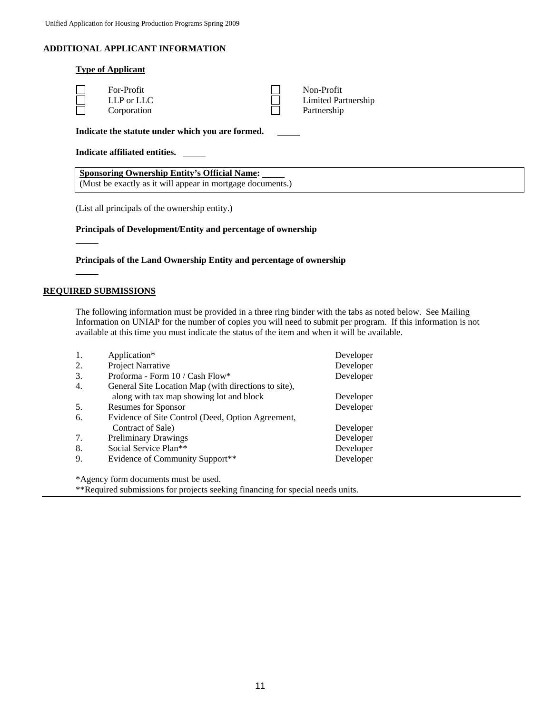# **ADDITIONAL APPLICANT INFORMATION**

|                               | <b>Type of Applicant</b>                         |  |                                                  |  |
|-------------------------------|--------------------------------------------------|--|--------------------------------------------------|--|
|                               | For-Profit<br>$LLP$ or $LLC$<br>Corporation      |  | Non-Profit<br>Limited Partnership<br>Partnership |  |
|                               | Indicate the statute under which you are formed. |  |                                                  |  |
| Indicate affiliated entities. |                                                  |  |                                                  |  |

**Sponsoring Ownership Entity's Official Name:**  (Must be exactly as it will appear in mortgage documents.)

(List all principals of the ownership entity.)

#### **Principals of Development/Entity and percentage of ownership**

**Principals of the Land Ownership Entity and percentage of ownership**

#### **REQUIRED SUBMISSIONS**

 $\overline{a}$ 

The following information must be provided in a three ring binder with the tabs as noted below. See Mailing Information on UNIAP for the number of copies you will need to submit per program. If this information is not available at this time you must indicate the status of the item and when it will be available.

| 1. | Application*                                         | Developer |
|----|------------------------------------------------------|-----------|
| 2. | Project Narrative                                    | Developer |
| 3. | Proforma - Form 10 / Cash Flow*                      | Developer |
| 4. | General Site Location Map (with directions to site), |           |
|    | along with tax map showing lot and block             | Developer |
| 5. | <b>Resumes for Sponsor</b>                           | Developer |
| 6. | Evidence of Site Control (Deed, Option Agreement,    |           |
|    | Contract of Sale)                                    | Developer |
| 7. | <b>Preliminary Drawings</b>                          | Developer |
| 8. | Social Service Plan**                                | Developer |
| 9. | Evidence of Community Support**                      | Developer |

\*Agency form documents must be used.

\*\*Required submissions for projects seeking financing for special needs units.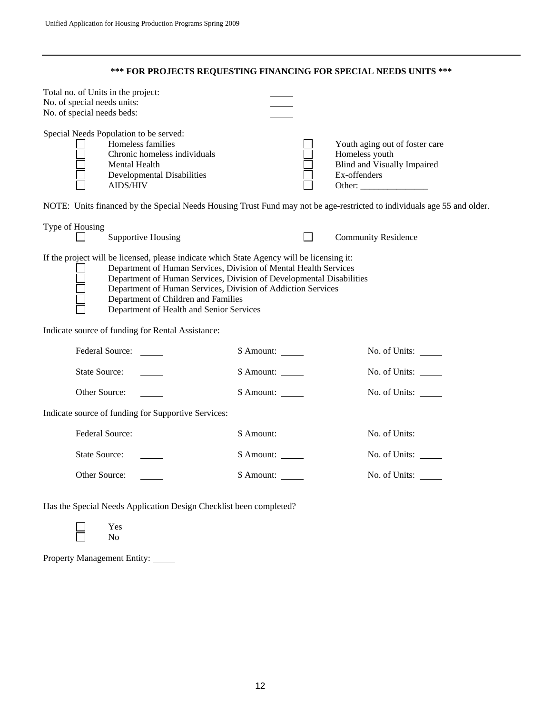**\*\*\* FOR PROJECTS REQUESTING FINANCING FOR SPECIAL NEEDS UNITS \*\*\*** 

| Total no. of Units in the project:<br>No. of special needs units:<br>No. of special needs beds: |                                                                                                                                                                                                                                                                                                                                                                                                                                               |                    |  |                                                                                                                         |
|-------------------------------------------------------------------------------------------------|-----------------------------------------------------------------------------------------------------------------------------------------------------------------------------------------------------------------------------------------------------------------------------------------------------------------------------------------------------------------------------------------------------------------------------------------------|--------------------|--|-------------------------------------------------------------------------------------------------------------------------|
|                                                                                                 | Special Needs Population to be served:<br>Homeless families<br>Chronic homeless individuals<br>Mental Health<br><b>Developmental Disabilities</b><br><b>AIDS/HIV</b>                                                                                                                                                                                                                                                                          |                    |  | Youth aging out of foster care<br>Homeless youth<br><b>Blind and Visually Impaired</b><br>Ex-offenders                  |
|                                                                                                 |                                                                                                                                                                                                                                                                                                                                                                                                                                               |                    |  | NOTE: Units financed by the Special Needs Housing Trust Fund may not be age-restricted to individuals age 55 and older. |
| Type of Housing                                                                                 | <b>Supportive Housing</b>                                                                                                                                                                                                                                                                                                                                                                                                                     |                    |  | <b>Community Residence</b>                                                                                              |
|                                                                                                 | If the project will be licensed, please indicate which State Agency will be licensing it:<br>Department of Human Services, Division of Mental Health Services<br>Department of Human Services, Division of Developmental Disabilities<br>Department of Human Services, Division of Addiction Services<br>Department of Children and Families<br>Department of Health and Senior Services<br>Indicate source of funding for Rental Assistance: |                    |  |                                                                                                                         |
|                                                                                                 | <b>Federal Source:</b>                                                                                                                                                                                                                                                                                                                                                                                                                        | $$$ Amount: $\_\_$ |  | No. of Units:                                                                                                           |
| <b>State Source:</b>                                                                            |                                                                                                                                                                                                                                                                                                                                                                                                                                               | \$ Amount:         |  | No. of Units:                                                                                                           |
| Other Source:                                                                                   |                                                                                                                                                                                                                                                                                                                                                                                                                                               | \$ Amount:         |  | No. of Units:                                                                                                           |
| Indicate source of funding for Supportive Services:                                             |                                                                                                                                                                                                                                                                                                                                                                                                                                               |                    |  |                                                                                                                         |
|                                                                                                 | <b>Federal Source:</b>                                                                                                                                                                                                                                                                                                                                                                                                                        | \$ Amount:         |  | No. of Units: ______                                                                                                    |
| <b>State Source:</b>                                                                            |                                                                                                                                                                                                                                                                                                                                                                                                                                               | \$ Amount:         |  | No. of Units:                                                                                                           |
| Other Source:                                                                                   |                                                                                                                                                                                                                                                                                                                                                                                                                                               | \$ Amount:         |  | No. of Units:                                                                                                           |
|                                                                                                 |                                                                                                                                                                                                                                                                                                                                                                                                                                               |                    |  |                                                                                                                         |

Has the Special Needs Application Design Checklist been completed?

 Yes No

Property Management Entity: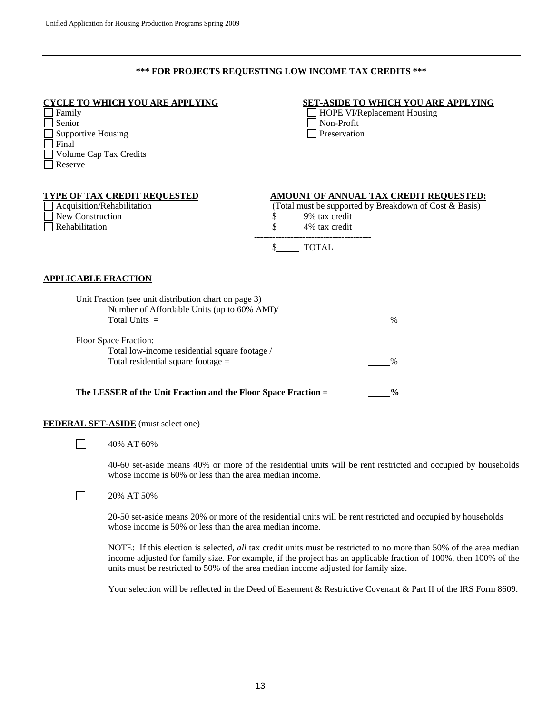## **\*\*\* FOR PROJECTS REQUESTING LOW INCOME TAX CREDITS \*\*\***

| Family<br>Senior<br><b>Supportive Housing</b><br>Final<br>Volume Cap Tax Credits<br>Reserve | <u>CYCLE TO WHICH YOU ARE APPLYING</u>                                                                                  | <b>SET-ASIDE TO WHICH YOU ARE APPLYING</b><br><b>HOPE VI/Replacement Housing</b><br>Non-Profit<br>Preservation                     |
|---------------------------------------------------------------------------------------------|-------------------------------------------------------------------------------------------------------------------------|------------------------------------------------------------------------------------------------------------------------------------|
| <b>New Construction</b><br>Rehabilitation                                                   | <b>TYPE OF TAX CREDIT REQUESTED</b><br>Acquisition/Rehabilitation                                                       | AMOUNT OF ANNUAL TAX CREDIT REQUESTED:<br>(Total must be supported by Breakdown of Cost & Basis)<br>9% tax credit<br>4% tax credit |
| <b>APPLICABLE FRACTION</b>                                                                  |                                                                                                                         | \$ TOTAL                                                                                                                           |
|                                                                                             | Unit Fraction (see unit distribution chart on page 3)<br>Number of Affordable Units (up to 60% AMI)/<br>Total Units $=$ | $\%$                                                                                                                               |
|                                                                                             | Floor Space Fraction:<br>Total low-income residential square footage /<br>Total residential square footage $=$          | %                                                                                                                                  |
|                                                                                             | The LESSER of the Unit Fraction and the Floor Space Fraction =                                                          | $\frac{0}{0}$                                                                                                                      |
|                                                                                             | <b>FEDERAL SET-ASIDE</b> (must select one)                                                                              |                                                                                                                                    |
|                                                                                             | 40% AT 60%                                                                                                              |                                                                                                                                    |
|                                                                                             | whose income is 60% or less than the area median income.                                                                | 40-60 set-aside means 40% or more of the residential units will be rent restricted and occupied by households                      |

 $\Box$  20% AT 50%

20-50 set-aside means 20% or more of the residential units will be rent restricted and occupied by households whose income is 50% or less than the area median income.

NOTE: If this election is selected, *all* tax credit units must be restricted to no more than 50% of the area median income adjusted for family size. For example, if the project has an applicable fraction of 100%, then 100% of the units must be restricted to 50% of the area median income adjusted for family size.

Your selection will be reflected in the Deed of Easement & Restrictive Covenant & Part II of the IRS Form 8609.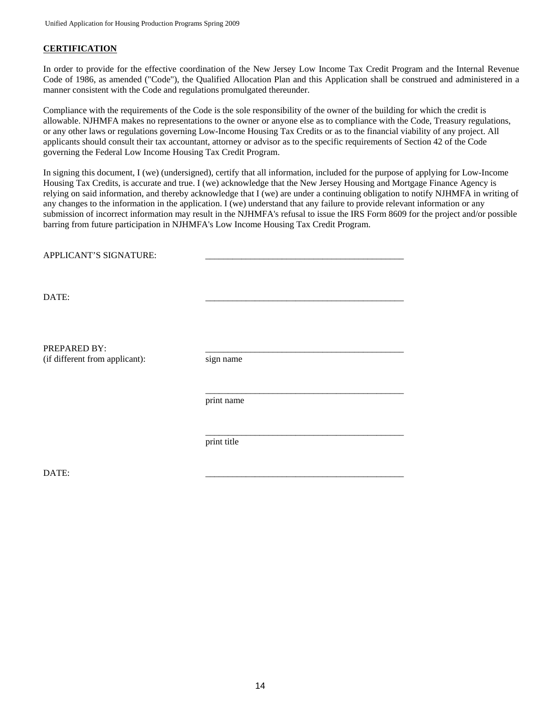# **CERTIFICATION**

In order to provide for the effective coordination of the New Jersey Low Income Tax Credit Program and the Internal Revenue Code of 1986, as amended ("Code"), the Qualified Allocation Plan and this Application shall be construed and administered in a manner consistent with the Code and regulations promulgated thereunder.

Compliance with the requirements of the Code is the sole responsibility of the owner of the building for which the credit is allowable. NJHMFA makes no representations to the owner or anyone else as to compliance with the Code, Treasury regulations, or any other laws or regulations governing Low-Income Housing Tax Credits or as to the financial viability of any project. All applicants should consult their tax accountant, attorney or advisor as to the specific requirements of Section 42 of the Code governing the Federal Low Income Housing Tax Credit Program.

In signing this document, I (we) (undersigned), certify that all information, included for the purpose of applying for Low-Income Housing Tax Credits, is accurate and true. I (we) acknowledge that the New Jersey Housing and Mortgage Finance Agency is relying on said information, and thereby acknowledge that I (we) are under a continuing obligation to notify NJHMFA in writing of any changes to the information in the application. I (we) understand that any failure to provide relevant information or any submission of incorrect information may result in the NJHMFA's refusal to issue the IRS Form 8609 for the project and/or possible barring from future participation in NJHMFA's Low Income Housing Tax Credit Program.

| APPLICANT'S SIGNATURE:                         |             |
|------------------------------------------------|-------------|
| DATE:                                          |             |
| PREPARED BY:<br>(if different from applicant): | sign name   |
|                                                | print name  |
|                                                | print title |

DATE: \_\_\_\_\_\_\_\_\_\_\_\_\_\_\_\_\_\_\_\_\_\_\_\_\_\_\_\_\_\_\_\_\_\_\_\_\_\_\_\_\_\_\_\_